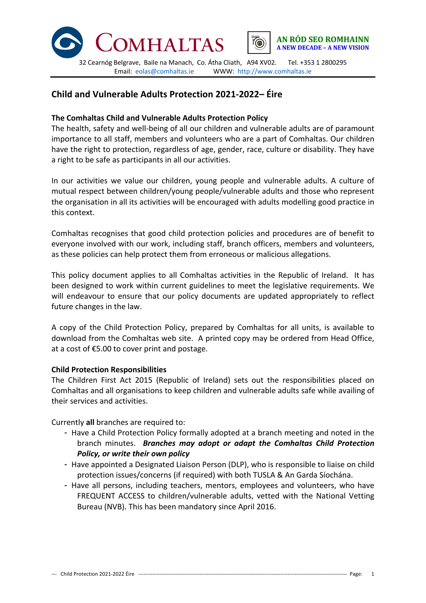



Email: eolas@comhaltas.ie WWW: http://www.comhaltas.ie

# **Child and Vulnerable Adults Protection 2021-2022– Éire**

### **The Comhaltas Child and Vulnerable Adults Protection Policy**

The health, safety and well-being of all our children and vulnerable adults are of paramount importance to all staff, members and volunteers who are a part of Comhaltas. Our children have the right to protection, regardless of age, gender, race, culture or disability. They have a right to be safe as participants in all our activities.

In our activities we value our children, young people and vulnerable adults. A culture of mutual respect between children/young people/vulnerable adults and those who represent the organisation in all its activities will be encouraged with adults modelling good practice in this context.

Comhaltas recognises that good child protection policies and procedures are of benefit to everyone involved with our work, including staff, branch officers, members and volunteers, as these policies can help protect them from erroneous or malicious allegations.

This policy document applies to all Comhaltas activities in the Republic of Ireland. It has been designed to work within current guidelines to meet the legislative requirements. We will endeavour to ensure that our policy documents are updated appropriately to reflect future changes in the law.

A copy of the Child Protection Policy, prepared by Comhaltas for all units, is available to download from the Comhaltas web site. A printed copy may be ordered from Head Office, at a cost of €5.00 to cover print and postage.

## **Child Protection Responsibilities**

The Children First Act 2015 (Republic of Ireland) sets out the responsibilities placed on Comhaltas and all organisations to keep children and vulnerable adults safe while availing of their services and activities.

Currently **all** branches are required to:

- Have a Child Protection Policy formally adopted at a branch meeting and noted in the branch minutes. *Branches may adopt or adapt the Comhaltas Child Protection Policy, or write their own policy*
- Have appointed a Designated Liaison Person (DLP), who is responsible to liaise on child protection issues/concerns (if required) with both TUSLA & An Garda Síochána.
- Have all persons, including teachers, mentors, employees and volunteers, who have FREQUENT ACCESS to children/vulnerable adults, vetted with the National Vetting Bureau (NVB). This has been mandatory since April 2016.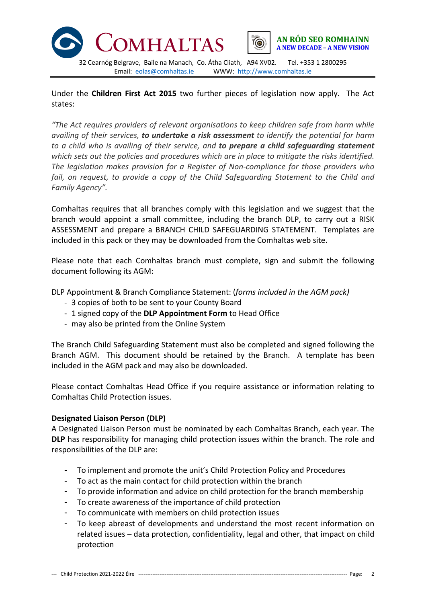

Under the **Children First Act 2015** two further pieces of legislation now apply. The Act states:

*"The Act requires providers of relevant organisations to keep children safe from harm while availing of their services, to undertake a risk assessment to identify the potential for harm to a child who is availing of their service, and to prepare a child safeguarding statement which sets out the policies and procedures which are in place to mitigate the risks identified. The legislation makes provision for a Register of Non-compliance for those providers who fail, on request, to provide a copy of the Child Safeguarding Statement to the Child and Family Agency".* 

Comhaltas requires that all branches comply with this legislation and we suggest that the branch would appoint a small committee, including the branch DLP, to carry out a RISK ASSESSMENT and prepare a BRANCH CHILD SAFEGUARDING STATEMENT. Templates are included in this pack or they may be downloaded from the Comhaltas web site.

Please note that each Comhaltas branch must complete, sign and submit the following document following its AGM:

DLP Appointment & Branch Compliance Statement: (*forms included in the AGM pack)*

- 3 copies of both to be sent to your County Board
- 1 signed copy of the **DLP Appointment Form** to Head Office
- may also be printed from the Online System

The Branch Child Safeguarding Statement must also be completed and signed following the Branch AGM. This document should be retained by the Branch. A template has been included in the AGM pack and may also be downloaded.

Please contact Comhaltas Head Office if you require assistance or information relating to Comhaltas Child Protection issues.

#### **Designated Liaison Person (DLP)**

A Designated Liaison Person must be nominated by each Comhaltas Branch, each year. The **DLP** has responsibility for managing child protection issues within the branch. The role and responsibilities of the DLP are:

- To implement and promote the unit's Child Protection Policy and Procedures
- To act as the main contact for child protection within the branch
- To provide information and advice on child protection for the branch membership
- To create awareness of the importance of child protection
- To communicate with members on child protection issues
- To keep abreast of developments and understand the most recent information on related issues – data protection, confidentiality, legal and other, that impact on child protection